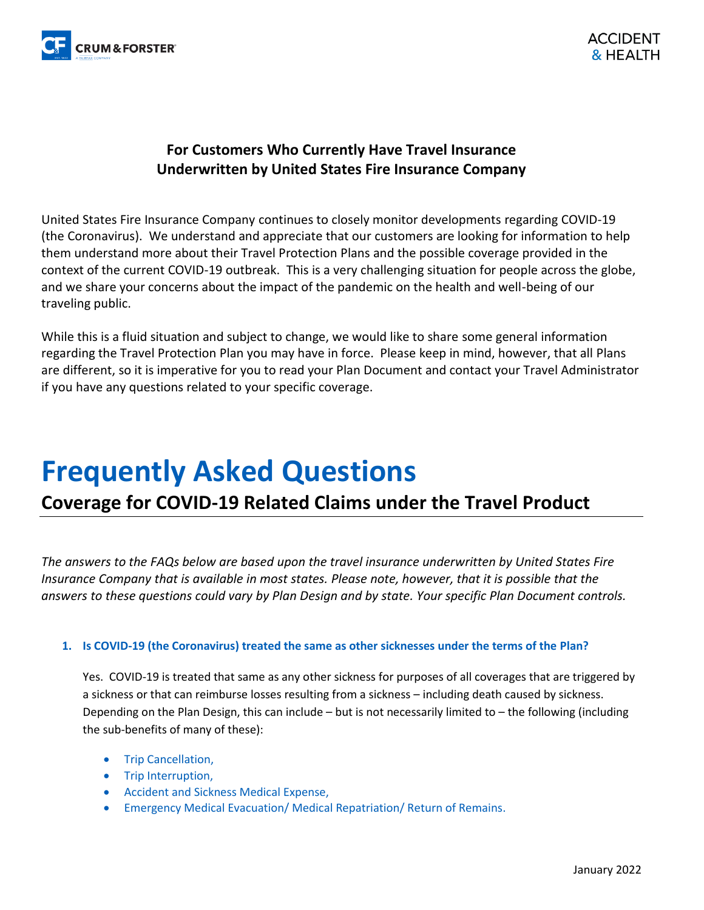

### **For Customers Who Currently Have Travel Insurance Underwritten by United States Fire Insurance Company**

United States Fire Insurance Company continues to closely monitor developments regarding COVID-19 (the Coronavirus). We understand and appreciate that our customers are looking for information to help them understand more about their Travel Protection Plans and the possible coverage provided in the context of the current COVID-19 outbreak. This is a very challenging situation for people across the globe, and we share your concerns about the impact of the pandemic on the health and well-being of our traveling public.

While this is a fluid situation and subject to change, we would like to share some general information regarding the Travel Protection Plan you may have in force. Please keep in mind, however, that all Plans are different, so it is imperative for you to read your Plan Document and contact your Travel Administrator if you have any questions related to your specific coverage.

# **Frequently Asked Questions**

## **Coverage for COVID-19 Related Claims under the Travel Product**

*The answers to the FAQs below are based upon the travel insurance underwritten by United States Fire Insurance Company that is available in most states. Please note, however, that it is possible that the answers to these questions could vary by Plan Design and by state. Your specific Plan Document controls.*

#### **1. Is COVID-19 (the Coronavirus) treated the same as other sicknesses under the terms of the Plan?**

Yes. COVID-19 is treated that same as any other sickness for purposes of all coverages that are triggered by a sickness or that can reimburse losses resulting from a sickness – including death caused by sickness. Depending on the Plan Design, this can include – but is not necessarily limited to – the following (including the sub-benefits of many of these):

- Trip Cancellation,
- Trip Interruption,
- Accident and Sickness Medical Expense,
- Emergency Medical Evacuation/ Medical Repatriation/ Return of Remains.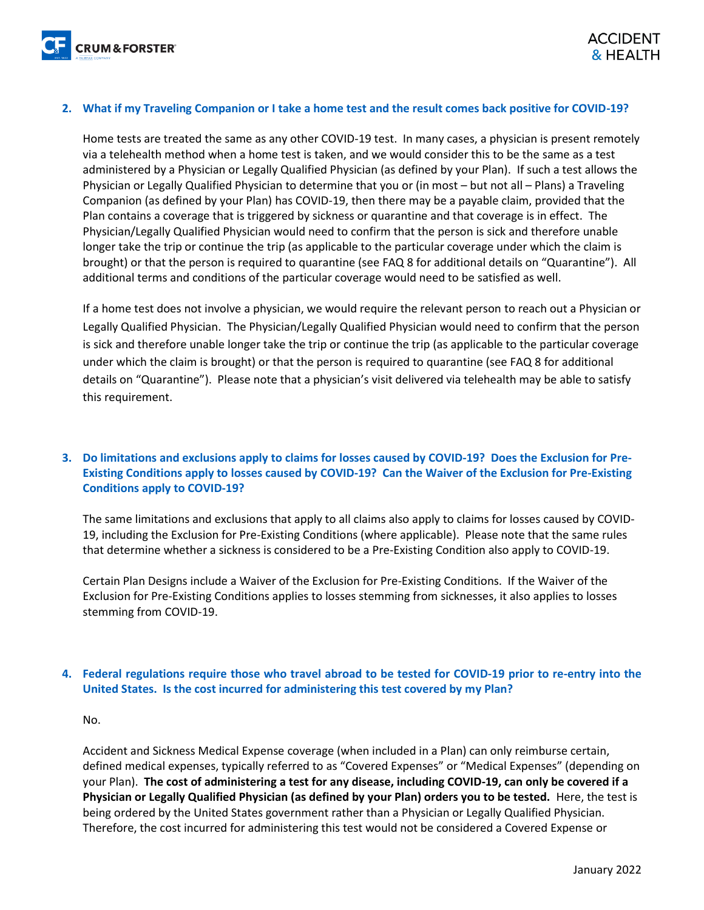#### **2. What if my Traveling Companion or I take a home test and the result comes back positive for COVID-19?**

Home tests are treated the same as any other COVID-19 test. In many cases, a physician is present remotely via a telehealth method when a home test is taken, and we would consider this to be the same as a test administered by a Physician or Legally Qualified Physician (as defined by your Plan). If such a test allows the Physician or Legally Qualified Physician to determine that you or (in most – but not all – Plans) a Traveling Companion (as defined by your Plan) has COVID-19, then there may be a payable claim, provided that the Plan contains a coverage that is triggered by sickness or quarantine and that coverage is in effect. The Physician/Legally Qualified Physician would need to confirm that the person is sick and therefore unable longer take the trip or continue the trip (as applicable to the particular coverage under which the claim is brought) or that the person is required to quarantine (see FAQ 8 for additional details on "Quarantine"). All additional terms and conditions of the particular coverage would need to be satisfied as well.

If a home test does not involve a physician, we would require the relevant person to reach out a Physician or Legally Qualified Physician. The Physician/Legally Qualified Physician would need to confirm that the person is sick and therefore unable longer take the trip or continue the trip (as applicable to the particular coverage under which the claim is brought) or that the person is required to quarantine (see FAQ 8 for additional details on "Quarantine"). Please note that a physician's visit delivered via telehealth may be able to satisfy this requirement.

#### **3. Do limitations and exclusions apply to claims for losses caused by COVID-19? Does the Exclusion for Pre-Existing Conditions apply to losses caused by COVID-19? Can the Waiver of the Exclusion for Pre-Existing Conditions apply to COVID-19?**

The same limitations and exclusions that apply to all claims also apply to claims for losses caused by COVID-19, including the Exclusion for Pre-Existing Conditions (where applicable). Please note that the same rules that determine whether a sickness is considered to be a Pre-Existing Condition also apply to COVID-19.

Certain Plan Designs include a Waiver of the Exclusion for Pre-Existing Conditions. If the Waiver of the Exclusion for Pre-Existing Conditions applies to losses stemming from sicknesses, it also applies to losses stemming from COVID-19.

#### **4. Federal regulations require those who travel abroad to be tested for COVID-19 prior to re-entry into the United States. Is the cost incurred for administering this test covered by my Plan?**

#### No.

Accident and Sickness Medical Expense coverage (when included in a Plan) can only reimburse certain, defined medical expenses, typically referred to as "Covered Expenses" or "Medical Expenses" (depending on your Plan). **The cost of administering a test for any disease, including COVID-19, can only be covered if a Physician or Legally Qualified Physician (as defined by your Plan) orders you to be tested.** Here, the test is being ordered by the United States government rather than a Physician or Legally Qualified Physician. Therefore, the cost incurred for administering this test would not be considered a Covered Expense or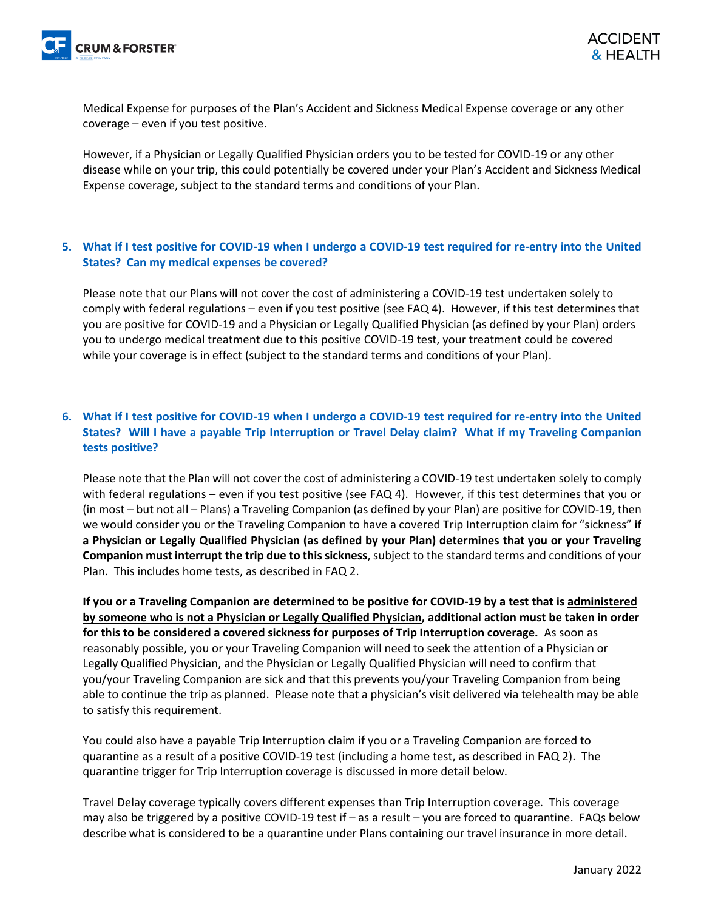Medical Expense for purposes of the Plan's Accident and Sickness Medical Expense coverage or any other coverage – even if you test positive.

However, if a Physician or Legally Qualified Physician orders you to be tested for COVID-19 or any other disease while on your trip, this could potentially be covered under your Plan's Accident and Sickness Medical Expense coverage, subject to the standard terms and conditions of your Plan.

#### **5. What if I test positive for COVID-19 when I undergo a COVID-19 test required for re-entry into the United States? Can my medical expenses be covered?**

Please note that our Plans will not cover the cost of administering a COVID-19 test undertaken solely to comply with federal regulations – even if you test positive (see FAQ 4). However, if this test determines that you are positive for COVID-19 and a Physician or Legally Qualified Physician (as defined by your Plan) orders you to undergo medical treatment due to this positive COVID-19 test, your treatment could be covered while your coverage is in effect (subject to the standard terms and conditions of your Plan).

#### **6. What if I test positive for COVID-19 when I undergo a COVID-19 test required for re-entry into the United States? Will I have a payable Trip Interruption or Travel Delay claim? What if my Traveling Companion tests positive?**

Please note that the Plan will not cover the cost of administering a COVID-19 test undertaken solely to comply with federal regulations – even if you test positive (see FAQ 4). However, if this test determines that you or (in most – but not all – Plans) a Traveling Companion (as defined by your Plan) are positive for COVID-19, then we would consider you or the Traveling Companion to have a covered Trip Interruption claim for "sickness" **if a Physician or Legally Qualified Physician (as defined by your Plan) determines that you or your Traveling Companion must interrupt the trip due to this sickness**, subject to the standard terms and conditions of your Plan. This includes home tests, as described in FAQ 2.

**If you or a Traveling Companion are determined to be positive for COVID-19 by a test that is administered by someone who is not a Physician or Legally Qualified Physician, additional action must be taken in order for this to be considered a covered sickness for purposes of Trip Interruption coverage.** As soon as reasonably possible, you or your Traveling Companion will need to seek the attention of a Physician or Legally Qualified Physician, and the Physician or Legally Qualified Physician will need to confirm that you/your Traveling Companion are sick and that this prevents you/your Traveling Companion from being able to continue the trip as planned. Please note that a physician's visit delivered via telehealth may be able to satisfy this requirement.

You could also have a payable Trip Interruption claim if you or a Traveling Companion are forced to quarantine as a result of a positive COVID-19 test (including a home test, as described in FAQ 2). The quarantine trigger for Trip Interruption coverage is discussed in more detail below.

Travel Delay coverage typically covers different expenses than Trip Interruption coverage. This coverage may also be triggered by a positive COVID-19 test if – as a result – you are forced to quarantine. FAQs below describe what is considered to be a quarantine under Plans containing our travel insurance in more detail.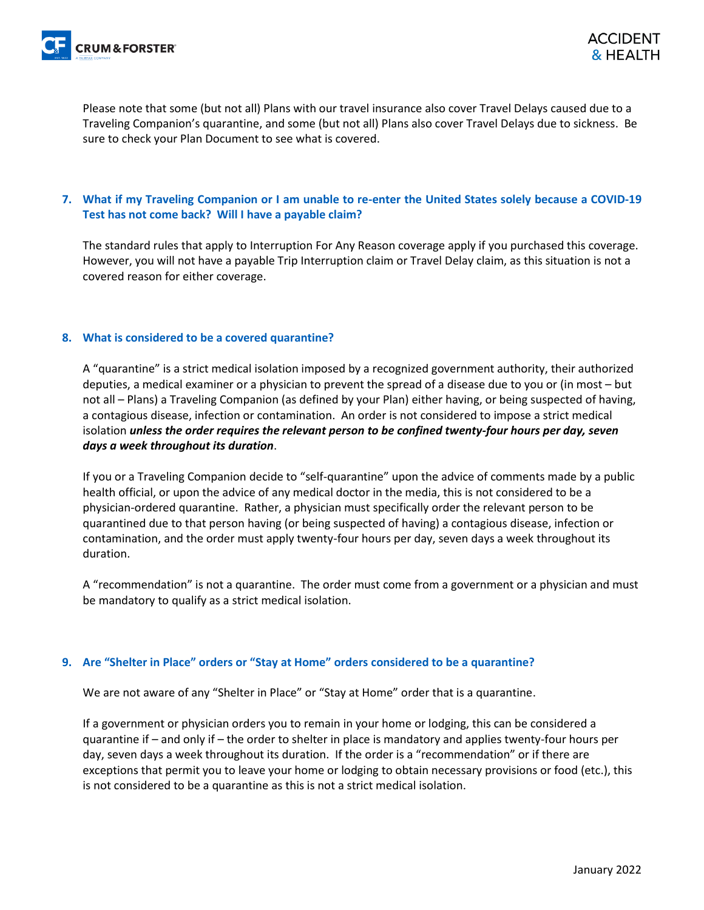Please note that some (but not all) Plans with our travel insurance also cover Travel Delays caused due to a Traveling Companion's quarantine, and some (but not all) Plans also cover Travel Delays due to sickness. Be sure to check your Plan Document to see what is covered.

#### **7. What if my Traveling Companion or I am unable to re-enter the United States solely because a COVID-19 Test has not come back? Will I have a payable claim?**

The standard rules that apply to Interruption For Any Reason coverage apply if you purchased this coverage. However, you will not have a payable Trip Interruption claim or Travel Delay claim, as this situation is not a covered reason for either coverage.

#### **8. What is considered to be a covered quarantine?**

A "quarantine" is a strict medical isolation imposed by a recognized government authority, their authorized deputies, a medical examiner or a physician to prevent the spread of a disease due to you or (in most – but not all – Plans) a Traveling Companion (as defined by your Plan) either having, or being suspected of having, a contagious disease, infection or contamination. An order is not considered to impose a strict medical isolation *unless the order requires the relevant person to be confined twenty-four hours per day, seven days a week throughout its duration*.

If you or a Traveling Companion decide to "self-quarantine" upon the advice of comments made by a public health official, or upon the advice of any medical doctor in the media, this is not considered to be a physician-ordered quarantine. Rather, a physician must specifically order the relevant person to be quarantined due to that person having (or being suspected of having) a contagious disease, infection or contamination, and the order must apply twenty-four hours per day, seven days a week throughout its duration.

A "recommendation" is not a quarantine. The order must come from a government or a physician and must be mandatory to qualify as a strict medical isolation.

#### **9. Are "Shelter in Place" orders or "Stay at Home" orders considered to be a quarantine?**

We are not aware of any "Shelter in Place" or "Stay at Home" order that is a quarantine.

If a government or physician orders you to remain in your home or lodging, this can be considered a quarantine if – and only if – the order to shelter in place is mandatory and applies twenty-four hours per day, seven days a week throughout its duration. If the order is a "recommendation" or if there are exceptions that permit you to leave your home or lodging to obtain necessary provisions or food (etc.), this is not considered to be a quarantine as this is not a strict medical isolation.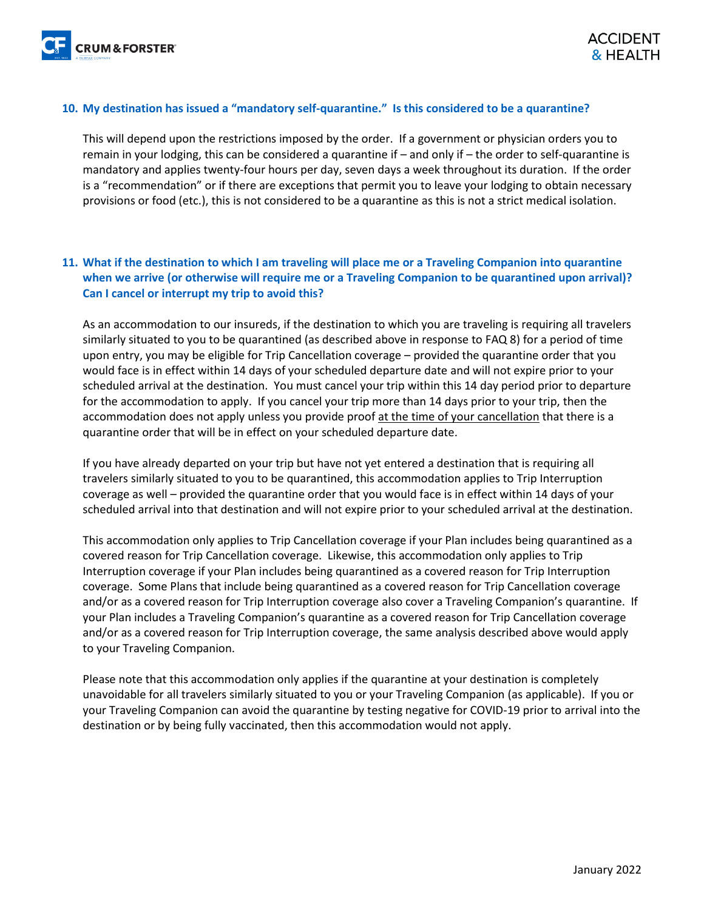#### **10. My destination has issued a "mandatory self-quarantine." Is this considered to be a quarantine?**

This will depend upon the restrictions imposed by the order. If a government or physician orders you to remain in your lodging, this can be considered a quarantine if – and only if – the order to self-quarantine is mandatory and applies twenty-four hours per day, seven days a week throughout its duration. If the order is a "recommendation" or if there are exceptions that permit you to leave your lodging to obtain necessary provisions or food (etc.), this is not considered to be a quarantine as this is not a strict medical isolation.

#### **11. What if the destination to which I am traveling will place me or a Traveling Companion into quarantine when we arrive (or otherwise will require me or a Traveling Companion to be quarantined upon arrival)? Can I cancel or interrupt my trip to avoid this?**

As an accommodation to our insureds, if the destination to which you are traveling is requiring all travelers similarly situated to you to be quarantined (as described above in response to FAQ 8) for a period of time upon entry, you may be eligible for Trip Cancellation coverage – provided the quarantine order that you would face is in effect within 14 days of your scheduled departure date and will not expire prior to your scheduled arrival at the destination. You must cancel your trip within this 14 day period prior to departure for the accommodation to apply. If you cancel your trip more than 14 days prior to your trip, then the accommodation does not apply unless you provide proof at the time of your cancellation that there is a quarantine order that will be in effect on your scheduled departure date.

If you have already departed on your trip but have not yet entered a destination that is requiring all travelers similarly situated to you to be quarantined, this accommodation applies to Trip Interruption coverage as well – provided the quarantine order that you would face is in effect within 14 days of your scheduled arrival into that destination and will not expire prior to your scheduled arrival at the destination.

This accommodation only applies to Trip Cancellation coverage if your Plan includes being quarantined as a covered reason for Trip Cancellation coverage. Likewise, this accommodation only applies to Trip Interruption coverage if your Plan includes being quarantined as a covered reason for Trip Interruption coverage. Some Plans that include being quarantined as a covered reason for Trip Cancellation coverage and/or as a covered reason for Trip Interruption coverage also cover a Traveling Companion's quarantine. If your Plan includes a Traveling Companion's quarantine as a covered reason for Trip Cancellation coverage and/or as a covered reason for Trip Interruption coverage, the same analysis described above would apply to your Traveling Companion.

Please note that this accommodation only applies if the quarantine at your destination is completely unavoidable for all travelers similarly situated to you or your Traveling Companion (as applicable). If you or your Traveling Companion can avoid the quarantine by testing negative for COVID-19 prior to arrival into the destination or by being fully vaccinated, then this accommodation would not apply.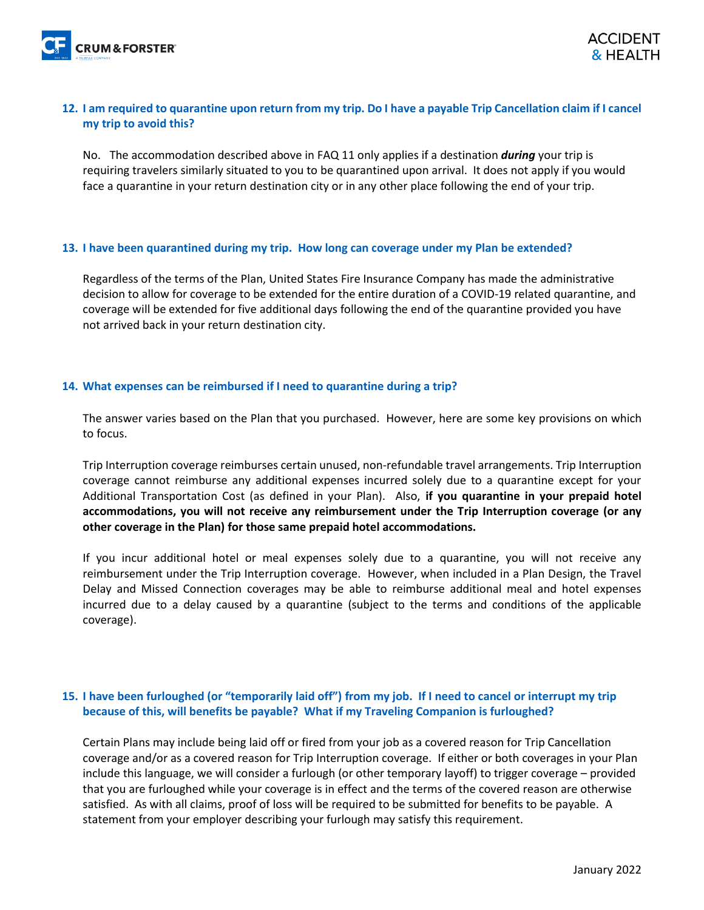

#### **12. I am required to quarantine upon return from my trip. Do I have a payable Trip Cancellation claim if I cancel my trip to avoid this?**

No. The accommodation described above in FAQ 11 only applies if a destination *during* your trip is requiring travelers similarly situated to you to be quarantined upon arrival. It does not apply if you would face a quarantine in your return destination city or in any other place following the end of your trip.

#### **13. I have been quarantined during my trip. How long can coverage under my Plan be extended?**

Regardless of the terms of the Plan, United States Fire Insurance Company has made the administrative decision to allow for coverage to be extended for the entire duration of a COVID-19 related quarantine, and coverage will be extended for five additional days following the end of the quarantine provided you have not arrived back in your return destination city.

#### **14. What expenses can be reimbursed if I need to quarantine during a trip?**

The answer varies based on the Plan that you purchased. However, here are some key provisions on which to focus.

Trip Interruption coverage reimburses certain unused, non-refundable travel arrangements. Trip Interruption coverage cannot reimburse any additional expenses incurred solely due to a quarantine except for your Additional Transportation Cost (as defined in your Plan). Also, **if you quarantine in your prepaid hotel accommodations, you will not receive any reimbursement under the Trip Interruption coverage (or any other coverage in the Plan) for those same prepaid hotel accommodations.**

If you incur additional hotel or meal expenses solely due to a quarantine, you will not receive any reimbursement under the Trip Interruption coverage. However, when included in a Plan Design, the Travel Delay and Missed Connection coverages may be able to reimburse additional meal and hotel expenses incurred due to a delay caused by a quarantine (subject to the terms and conditions of the applicable coverage).

#### **15. I have been furloughed (or "temporarily laid off") from my job. If I need to cancel or interrupt my trip because of this, will benefits be payable? What if my Traveling Companion is furloughed?**

Certain Plans may include being laid off or fired from your job as a covered reason for Trip Cancellation coverage and/or as a covered reason for Trip Interruption coverage. If either or both coverages in your Plan include this language, we will consider a furlough (or other temporary layoff) to trigger coverage – provided that you are furloughed while your coverage is in effect and the terms of the covered reason are otherwise satisfied. As with all claims, proof of loss will be required to be submitted for benefits to be payable. A statement from your employer describing your furlough may satisfy this requirement.